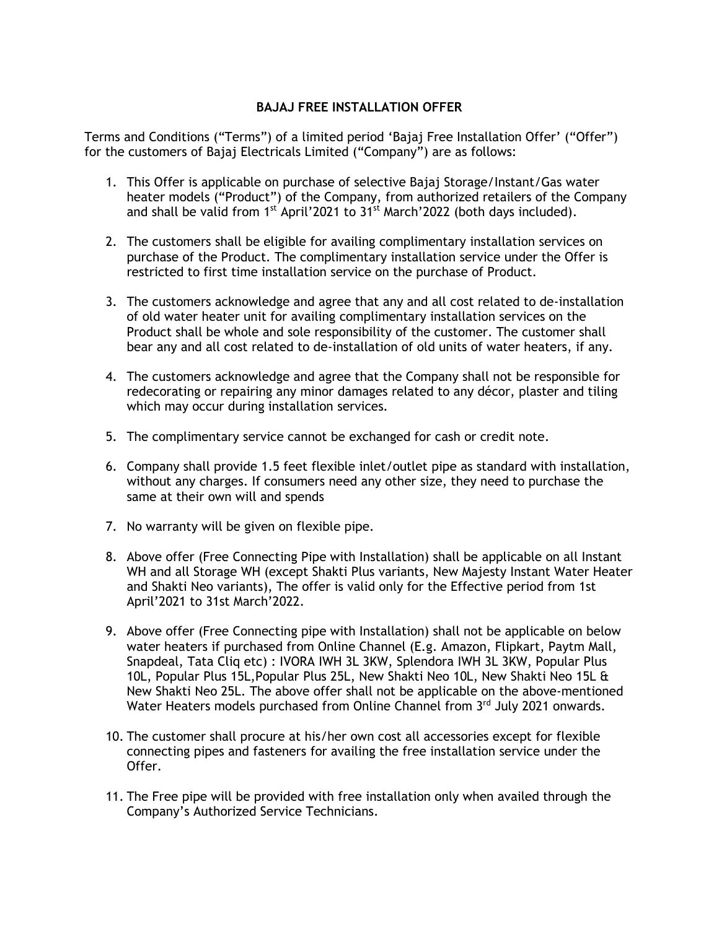## **BAJAJ FREE INSTALLATION OFFER**

Terms and Conditions ("Terms") of a limited period 'Bajaj Free Installation Offer' ("Offer") for the customers of Bajaj Electricals Limited ("Company") are as follows:

- 1. This Offer is applicable on purchase of selective Bajaj Storage/Instant/Gas water heater models ("Product") of the Company, from authorized retailers of the Company and shall be valid from 1<sup>st</sup> April'2021 to 31<sup>st</sup> March'2022 (both days included).
- 2. The customers shall be eligible for availing complimentary installation services on purchase of the Product. The complimentary installation service under the Offer is restricted to first time installation service on the purchase of Product.
- 3. The customers acknowledge and agree that any and all cost related to de-installation of old water heater unit for availing complimentary installation services on the Product shall be whole and sole responsibility of the customer. The customer shall bear any and all cost related to de-installation of old units of water heaters, if any.
- 4. The customers acknowledge and agree that the Company shall not be responsible for redecorating or repairing any minor damages related to any décor, plaster and tiling which may occur during installation services.
- 5. The complimentary service cannot be exchanged for cash or credit note.
- 6. Company shall provide 1.5 feet flexible inlet/outlet pipe as standard with installation, without any charges. If consumers need any other size, they need to purchase the same at their own will and spends
- 7. No warranty will be given on flexible pipe.
- 8. Above offer (Free Connecting Pipe with Installation) shall be applicable on all Instant WH and all Storage WH (except Shakti Plus variants, New Majesty Instant Water Heater and Shakti Neo variants), The offer is valid only for the Effective period from 1st April'2021 to 31st March'2022.
- 9. Above offer (Free Connecting pipe with Installation) shall not be applicable on below water heaters if purchased from Online Channel (E.g. Amazon, Flipkart, Paytm Mall, Snapdeal, Tata Cliq etc) : IVORA IWH 3L 3KW, Splendora IWH 3L 3KW, Popular Plus 10L, Popular Plus 15L,Popular Plus 25L, New Shakti Neo 10L, New Shakti Neo 15L & New Shakti Neo 25L. The above offer shall not be applicable on the above-mentioned Water Heaters models purchased from Online Channel from 3rd July 2021 onwards.
- 10. The customer shall procure at his/her own cost all accessories except for flexible connecting pipes and fasteners for availing the free installation service under the Offer.
- 11. The Free pipe will be provided with free installation only when availed through the Company's Authorized Service Technicians.